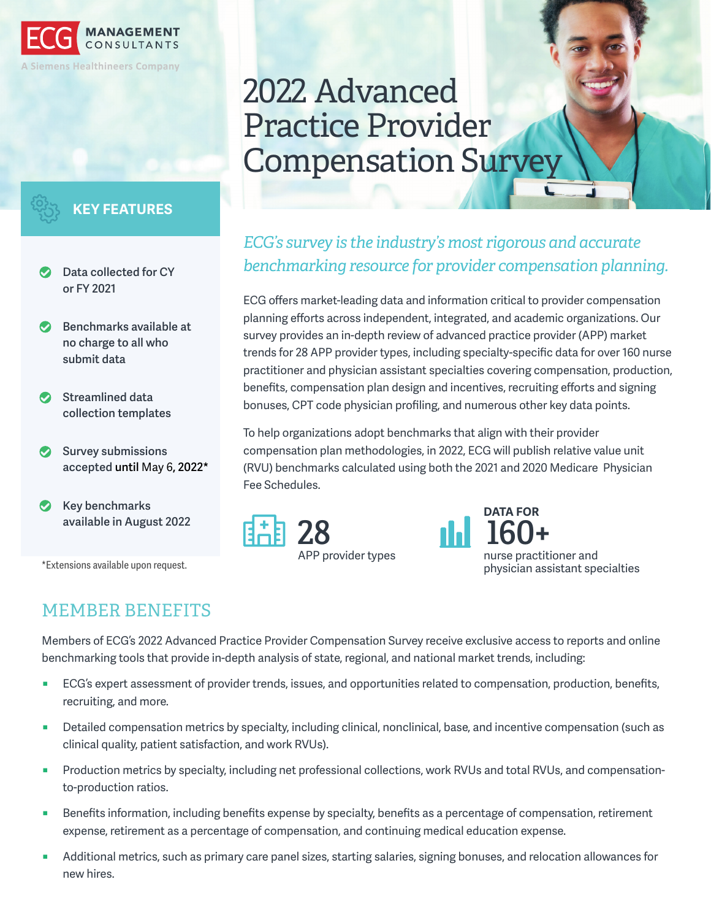

### **KEY FEATURES**

- **Data collected for CY or FY 2021**
- **Benchmarks available at**  ☎ **no charge to all who submit data**
- **Streamlined data**  ☎ **collection templates**
- **Survey submissions accepted until** May 6**, 2022\***
- **Key benchmarks available in August 2022**

\*Extensions available upon request.

# 2022 Advanced Practice Provider Compensation Survey

# *ECG's survey is the industry's most rigorous and accurate benchmarking resource for provider compensation planning.*

ECG offers market-leading data and information critical to provider compensation planning efforts across independent, integrated, and academic organizations. Our survey provides an in-depth review of advanced practice provider (APP) market trends for 28 APP provider types, including specialty-specific data for over 160 nurse practitioner and physician assistant specialties covering compensation, production, benefits, compensation plan design and incentives, recruiting efforts and signing bonuses, CPT code physician profiling, and numerous other key data points.

To help organizations adopt benchmarks that align with their provider compensation plan methodologies, in 2022, ECG will publish relative value unit (RVU) benchmarks calculated using both the 2021 and 2020 Medicare Physician Fee Schedules.





APP provider types nurse practitioner and physician assistant specialties

# MEMBER BENEFITS

Members of ECG's 2022 Advanced Practice Provider Compensation Survey receive exclusive access to reports and online benchmarking tools that provide in-depth analysis of state, regional, and national market trends, including:

- ECG's expert assessment of provider trends, issues, and opportunities related to compensation, production, benefits, recruiting, and more.
- Detailed compensation metrics by specialty, including clinical, nonclinical, base, and incentive compensation (such as clinical quality, patient satisfaction, and work RVUs).
- Production metrics by specialty, including net professional collections, work RVUs and total RVUs, and compensationto-production ratios.
- Benefits information, including benefits expense by specialty, benefits as a percentage of compensation, retirement expense, retirement as a percentage of compensation, and continuing medical education expense.
- Additional metrics, such as primary care panel sizes, starting salaries, signing bonuses, and relocation allowances for new hires.